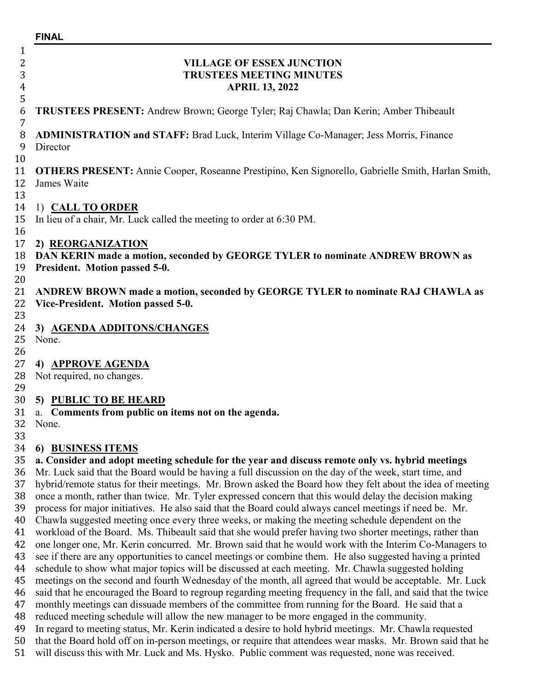#### **FINAL**

| <b>VILLAGE OF ESSEX JUNCTION</b>                                                                           |
|------------------------------------------------------------------------------------------------------------|
| <b>TRUSTEES MEETING MINUTES</b>                                                                            |
| <b>APRIL 13, 2022</b>                                                                                      |
|                                                                                                            |
| TRUSTEES PRESENT: Andrew Brown; George Tyler; Raj Chawla; Dan Kerin; Amber Thibeault                       |
|                                                                                                            |
| <b>ADMINISTRATION and STAFF:</b> Brad Luck, Interim Village Co-Manager; Jess Morris, Finance               |
| Director                                                                                                   |
|                                                                                                            |
| <b>OTHERS PRESENT:</b> Annie Cooper, Roseanne Prestipino, Ken Signorello, Gabrielle Smith, Harlan Smith,   |
| James Waite                                                                                                |
|                                                                                                            |
| 1) CALL TO ORDER                                                                                           |
| In lieu of a chair, Mr. Luck called the meeting to order at 6:30 PM.                                       |
|                                                                                                            |
| 2) REORGANIZATION                                                                                          |
| DAN KERIN made a motion, seconded by GEORGE TYLER to nominate ANDREW BROWN as                              |
| President. Motion passed 5-0.                                                                              |
|                                                                                                            |
| ANDREW BROWN made a motion, seconded by GEORGE TYLER to nominate RAJ CHAWLA as                             |
| Vice-President. Motion passed 5-0.                                                                         |
|                                                                                                            |
| <b>AGENDA ADDITONS/CHANGES</b><br>3)                                                                       |
| None.                                                                                                      |
|                                                                                                            |
| 4) APPROVE AGENDA                                                                                          |
| Not required, no changes.                                                                                  |
|                                                                                                            |
| 5) PUBLIC TO BE HEARD                                                                                      |
| Comments from public on items not on the agenda.<br>a.                                                     |
| None.                                                                                                      |
|                                                                                                            |
| 6) BUSINESS ITEMS                                                                                          |
| a. Consider and adopt meeting schedule for the year and discuss remote only vs. hybrid meetings            |
| Mr. Luck said that the Board would be having a full discussion on the day of the week, start time, and     |
| hybrid/remote status for their meetings. Mr. Brown asked the Board how they felt about the idea of meeting |
| once a month, rather than twice. Mr. Tyler expressed concern that this would delay the decision making     |
|                                                                                                            |

- 39 process for major initiatives. He also said that the Board could always cancel meetings if need be. Mr.<br>40 Chawla suggested meeting once every three weeks, or making the meeting schedule dependent on the
- 40 Chawla suggested meeting once every three weeks, or making the meeting schedule dependent on the<br>41 workload of the Board. Ms. Thibeault said that she would prefer having two shorter meetings, rather t
- 41 workload of the Board. Ms. Thibeault said that she would prefer having two shorter meetings, rather than<br>42 one longer one, Mr. Kerin concurred. Mr. Brown said that he would work with the Interim Co-Managers t
- 42 one longer one, Mr. Kerin concurred. Mr. Brown said that he would work with the Interim Co-Managers to see if there are any opportunities to cancel meetings or combine them. He also suggested having a printed 43 see if there are any opportunities to cancel meetings or combine them. He also suggested having a printed schedule to show what major topics will be discussed at each meeting. Mr. Chawla suggested holding
- 44 schedule to show what major topics will be discussed at each meeting. Mr. Chawla suggested holding<br>45 meetings on the second and fourth Wednesday of the month, all agreed that would be acceptable. Mr.
- 45 meetings on the second and fourth Wednesday of the month, all agreed that would be acceptable. Mr. Luck 46 said that he encouraged the Board to regroup regarding meeting frequency in the fall, and said that the twice
- 46 said that he encouraged the Board to regroup regarding meeting frequency in the fall, and said that the twice<br>47 monthly meetings can dissuade members of the committee from running for the Board. He said that a
- 47 monthly meetings can dissuade members of the committee from running for the Board. He said that a<br>48 reduced meeting schedule will allow the new manager to be more engaged in the community.
- 48 reduced meeting schedule will allow the new manager to be more engaged in the community.<br>49 In regard to meeting status, Mr. Kerin indicated a desire to hold hybrid meetings. Mr. Chawla
- 49 In regard to meeting status, Mr. Kerin indicated a desire to hold hybrid meetings. Mr. Chawla requested 50 that the Board hold off on in-person meetings, or require that attendees wear masks. Mr. Brown said that
- 50 that the Board hold off on in-person meetings, or require that attendees wear masks. Mr. Brown said that he<br>51 will discuss this with Mr. Luck and Ms. Hysko. Public comment was requested, none was received. will discuss this with Mr. Luck and Ms. Hysko. Public comment was requested, none was received.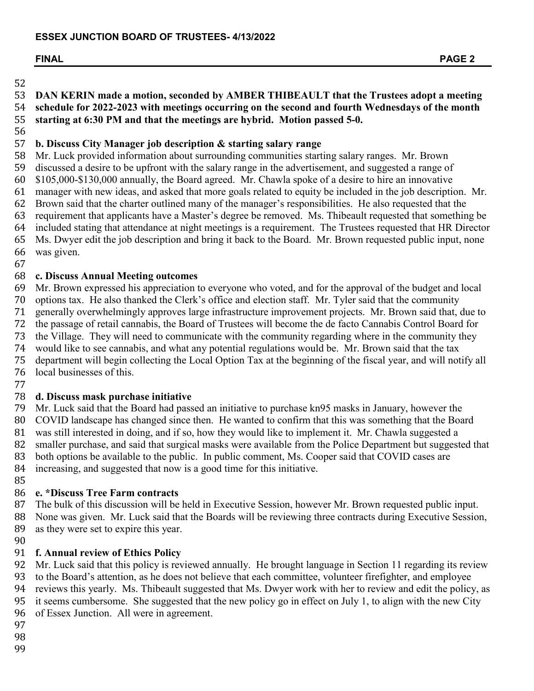52<br>53 **DAN KERIN made a motion, seconded by AMBER THIBEAULT that the Trustees adopt a meeting schedule for 2022-2023 with meetings occurring on the second and fourth Wednesdays of the month starting at 6:30 PM and that the meetings are hybrid. Motion passed 5-0.**

56<br>57

### 57 **b. Discuss City Manager job description & starting salary range**

58 Mr. Luck provided information about surrounding communities starting salary ranges. Mr. Brown<br>59 discussed a desire to be upfront with the salary range in the advertisement, and suggested a range of

59 discussed a desire to be upfront with the salary range in the advertisement, and suggested a range of 60 \$105,000-\$130,000 annually, the Board agreed. Mr. Chawla spoke of a desire to hire an innovative

60 \$105,000-\$130,000 annually, the Board agreed. Mr. Chawla spoke of a desire to hire an innovative

61 manager with new ideas, and asked that more goals related to equity be included in the job description. Mr.<br>62 Brown said that the charter outlined many of the manager's responsibilities. He also requested that the

62 Brown said that the charter outlined many of the manager's responsibilities. He also requested that the requirement that applicants have a Master's degree be removed. Ms. Thibeault requested that somethin

63 requirement that applicants have a Master's degree be removed. Ms. Thibeault requested that something be included stating that attendance at night meetings is a requirement. The Trustees requested that HR Director 64 included stating that attendance at night meetings is a requirement. The Trustees requested that HR Director<br>65 Ms. Dwyer edit the job description and bring it back to the Board. Mr. Brown requested public input, none 65 Ms. Dwyer edit the job description and bring it back to the Board. Mr. Brown requested public input, none

was given.

### 67<br>68

### 68 **c. Discuss Annual Meeting outcomes**

69 Mr. Brown expressed his appreciation to everyone who voted, and for the approval of the budget and local options tax. He also thanked the Clerk's office and election staff. Mr. Tyler said that the community

70 options tax. He also thanked the Clerk's office and election staff. Mr. Tyler said that the community generally overwhelmingly approves large infrastructure improvement projects. Mr. Brown said that,

71 generally overwhelmingly approves large infrastructure improvement projects. Mr. Brown said that, due to<br>72 the passage of retail cannabis, the Board of Trustees will become the de facto Cannabis Control Board for

72 the passage of retail cannabis, the Board of Trustees will become the de facto Cannabis Control Board for<br>73 the Village. They will need to communicate with the community regarding where in the community they

73 the Village. They will need to communicate with the community regarding where in the community they<br>74 would like to see cannabis, and what any potential regulations would be. Mr. Brown said that the tax

- 74 would like to see cannabis, and what any potential regulations would be. Mr. Brown said that the tax 75 department will begin collecting the Local Option Tax at the beginning of the fiscal year, and will notify all
- local businesses of this.

# 77<br>78

78 **d. Discuss mask purchase initiative**  79 Mr. Luck said that the Board had passed an initiative to purchase kn95 masks in January, however the 80 COVID landscape has changed since then. He wanted to confirm that this was something that the Boa 80 COVID landscape has changed since then. He wanted to confirm that this was something that the Board<br>81 was still interested in doing, and if so, how they would like to implement it. Mr. Chawla suggested a 81 was still interested in doing, and if so, how they would like to implement it. Mr. Chawla suggested a<br>82 smaller purchase, and said that surgical masks were available from the Police Department but suggest 82 smaller purchase, and said that surgical masks were available from the Police Department but suggested that 83 both options be available to the public. In public comment, Ms. Cooper said that COVID cases are 83 both options be available to the public. In public comment, Ms. Cooper said that COVID cases are increasing, and suggested that now is a good time for this initiative. increasing, and suggested that now is a good time for this initiative.

# 85<br>86

86 **e. \*Discuss Tree Farm contracts** 

87 The bulk of this discussion will be held in Executive Session, however Mr. Brown requested public input.<br>88 None was given. Mr. Luck said that the Boards will be reviewing three contracts during Executive Session 88 None was given. Mr. Luck said that the Boards will be reviewing three contracts during Executive Session, as they were set to expire this year.

- as they were set to expire this year.
- 

#### 90<br>91 91 **f. Annual review of Ethics Policy**

92 Mr. Luck said that this policy is reviewed annually. He brought language in Section 11 regarding its review<br>93 to the Board's attention, as he does not believe that each committee, volunteer firefighter, and employee

93 to the Board's attention, as he does not believe that each committee, volunteer firefighter, and employee reviews this vearly. Ms. Thibeault suggested that Ms. Dwyer work with her to review and edit the policy

94 reviews this yearly. Ms. Thibeault suggested that Ms. Dwyer work with her to review and edit the policy, as<br>95 it seems cumbersome. She suggested that the new policy go in effect on July 1, to align with the new City

95 it seems cumbersome. She suggested that the new policy go in effect on July 1, to align with the new City of Essex Junction. All were in agreement.

- of Essex Junction. All were in agreement.
- 97
- 98 99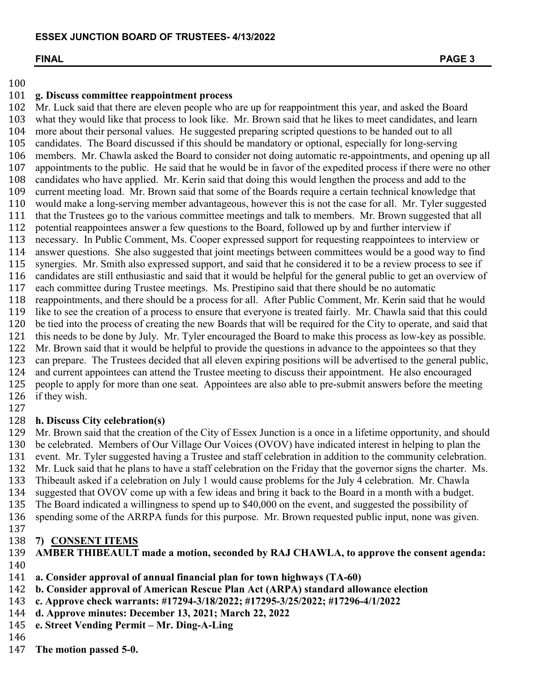### $\frac{100}{101}$

101 **g. Discuss committee reappointment process**  102 Mr. Luck said that there are eleven people who are up for reappointment this year, and asked the Board 103 what they would like that process to look like. Mr. Brown said that he likes to meet candidates, and lear 103 what they would like that process to look like. Mr. Brown said that he likes to meet candidates, and learn 104 more about their personal values. He suggested preparing scripted questions to be handed out to all 104 more about their personal values. He suggested preparing scripted questions to be handed out to all 105 candidates. The Board discussed if this should be mandatory or optional, especially for long-serving 105 candidates. The Board discussed if this should be mandatory or optional, especially for long-serving<br>106 members. Mr. Chawla asked the Board to consider not doing automatic re-appointments, and opening 106 members. Mr. Chawla asked the Board to consider not doing automatic re-appointments, and opening up all 107 appointments to the public. He said that he would be in favor of the expedited process if there were no other 107 appointments to the public. He said that he would be in favor of the expedited process if there were no other 108 candidates who have applied. Mr. Kerin said that doing this would lengthen the process and add to the 108 candidates who have applied. Mr. Kerin said that doing this would lengthen the process and add to the 109 current meeting load. Mr. Brown said that some of the Boards require a certain technical knowledge the 109 current meeting load. Mr. Brown said that some of the Boards require a certain technical knowledge that 110 would make a long-serving member advantageous, however this is not the case for all. Mr. Tyler suggest 110 would make a long-serving member advantageous, however this is not the case for all. Mr. Tyler suggested 111 that the Trustees go to the various committee meetings and talk to members. Mr. Brown suggested that all 111 that the Trustees go to the various committee meetings and talk to members. Mr. Brown suggested that all 112 potential reappointees answer a few questions to the Board, followed up by and further interview if 112 potential reappointees answer a few questions to the Board, followed up by and further interview if 113 necessary. In Public Comment, Ms. Cooper expressed support for requesting reappointees to interv 113 necessary. In Public Comment, Ms. Cooper expressed support for requesting reappointees to interview or 114 answer questions. She also suggested that ioint meetings between committees would be a good way to fine 114 answer questions. She also suggested that joint meetings between committees would be a good way to find<br>115 synergies. Mr. Smith also expressed support, and said that he considered it to be a review process to see if 115 synergies. Mr. Smith also expressed support, and said that he considered it to be a review process to see if 116 candidates are still enthusiastic and said that it would be helpful for the general public to get an over 116 candidates are still enthusiastic and said that it would be helpful for the general public to get an overview of<br>117 each committee during Trustee meetings. Ms. Prestipino said that there should be no automatic 117 each committee during Trustee meetings. Ms. Prestipino said that there should be no automatic<br>118 reappointments, and there should be a process for all. After Public Comment, Mr. Kerin said th 118 reappointments, and there should be a process for all. After Public Comment, Mr. Kerin said that he would<br>119 like to see the creation of a process to ensure that everyone is treated fairly. Mr. Chawla said that this c 119 like to see the creation of a process to ensure that everyone is treated fairly. Mr. Chawla said that this could 120 be tied into the process of creating the new Boards that will be required for the City to operate, an 120 be tied into the process of creating the new Boards that will be required for the City to operate, and said that 121 this needs to be done by July. Mr. Tyler encouraged the Board to make this process as low-key as poss 121 this needs to be done by July. Mr. Tyler encouraged the Board to make this process as low-key as possible.<br>122 Mr. Brown said that it would be helpful to provide the questions in advance to the appointees so that they 122 Mr. Brown said that it would be helpful to provide the questions in advance to the appointees so that they<br>123 can prepare. The Trustees decided that all eleven expiring positions will be advertised to the general publ 123 can prepare. The Trustees decided that all eleven expiring positions will be advertised to the general public,<br>124 and current appointees can attend the Trustee meeting to discuss their appointment. He also encouraged 124 and current appointees can attend the Trustee meeting to discuss their appointment. He also encouraged 125 people to apply for more than one seat. Appointees are also able to pre-submit answers before the meeting 125 people to apply for more than one seat. Appointees are also able to pre-submit answers before the meeting 126 if they wish. if they wish.

127

128 **h. Discuss City celebration(s)** 129 Mr. Brown said that the creation of the City of Essex Junction is a once in a lifetime opportunity, and should<br>130 be celebrated. Members of Our Village Our Voices (OVOV) have indicated interest in helping to plan the 130 be celebrated. Members of Our Village Our Voices (OVOV) have indicated interest in helping to plan the 131 event. Mr. Tyler suggested having a Trustee and staff celebration in addition to the community celebration 131 event. Mr. Tyler suggested having a Trustee and staff celebration in addition to the community celebration.<br>132 Mr. Luck said that he plans to have a staff celebration on the Friday that the governor signs the charter. 132 Mr. Luck said that he plans to have a staff celebration on the Friday that the governor signs the charter. Ms.<br>133 Thibeault asked if a celebration on July 1 would cause problems for the July 4 celebration. Mr. Chawla 133 Thibeault asked if a celebration on July 1 would cause problems for the July 4 celebration. Mr. Chawla 134 suggested that OVOV come up with a few ideas and bring it back to the Board in a month with a budget. 134 suggested that OVOV come up with a few ideas and bring it back to the Board in a month with a budget.<br>135 The Board indicated a willingness to spend up to \$40,000 on the event, and suggested the possibility of 135 The Board indicated a willingness to spend up to \$40,000 on the event, and suggested the possibility of 136 spending some of the ARRPA funds for this purpose. Mr. Brown requested public input, none was give spending some of the ARRPA funds for this purpose. Mr. Brown requested public input, none was given.

### 137<br>138

- 138 **7) CONSENT ITEMS** 139 **AMBER THIBEAULT made a motion, seconded by RAJ CHAWLA, to approve the consent agenda:**
- 140<br>141 141 **a. Consider approval of annual financial plan for town highways (TA-60)**
- 142 **b. Consider approval of American Rescue Plan Act (ARPA) standard allowance election**
- 143 **c. Approve check warrants: #17294-3/18/2022; #17295-3/25/2022; #17296-4/1/2022**
- 144 **d. Approve minutes: December 13, 2021; March 22, 2022**
- 145 **e. Street Vending Permit – Mr. Ding-A-Ling**
- 146<br>147
- The motion passed 5-0.